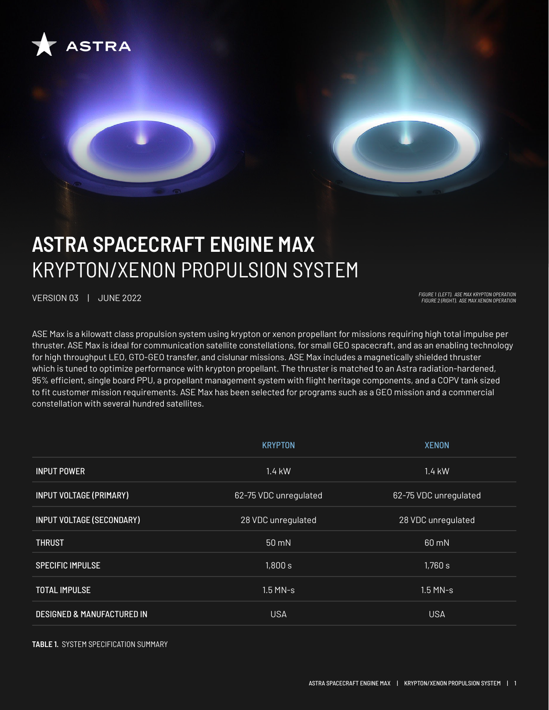

# **ASTRA SPACECRAFT ENGINE MAX** KRYPTON/XENON PROPULSION SYSTEM

VERSION 03 | JUNE 2022 *FIGURE 1 (LEFT). ASE MAX KRYPTON OPERATION FIGURE 2 (RIGHT). ASE MAX XENON OPERATION*

ASE Max is a kilowatt class propulsion system using krypton or xenon propellant for missions requiring high total impulse per thruster. ASE Max is ideal for communication satellite constellations, for small GEO spacecraft, and as an enabling technology for high throughput LEO, GTO-GEO transfer, and cislunar missions. ASE Max includes a magnetically shielded thruster which is tuned to optimize performance with krypton propellant. The thruster is matched to an Astra radiation-hardened, 95% efficient, single board PPU, a propellant management system with flight heritage components, and a COPV tank sized to fit customer mission requirements. ASE Max has been selected for programs such as a GEO mission and a commercial constellation with several hundred satellites.

|                                       | <b>KRYPTON</b>        | <b>XENON</b>          |
|---------------------------------------|-----------------------|-----------------------|
| <b>INPUT POWER</b>                    | 1.4 kW                | $1.4$ kW              |
| <b>INPUT VOLTAGE (PRIMARY)</b>        | 62-75 VDC unregulated | 62-75 VDC unregulated |
| INPUT VOLTAGE (SECONDARY)             | 28 VDC unregulated    | 28 VDC unregulated    |
| <b>THRUST</b>                         | $50 \text{ mN}$       | 60 mN                 |
| <b>SPECIFIC IMPULSE</b>               | 1,800 s               | 1,760 s               |
| <b>TOTAL IMPULSE</b>                  | $1.5$ MN-s            | $1.5$ MN-s            |
| <b>DESIGNED &amp; MANUFACTURED IN</b> | <b>USA</b>            | <b>USA</b>            |

**TABLE 1.** SYSTEM SPECIFICATION SUMMARY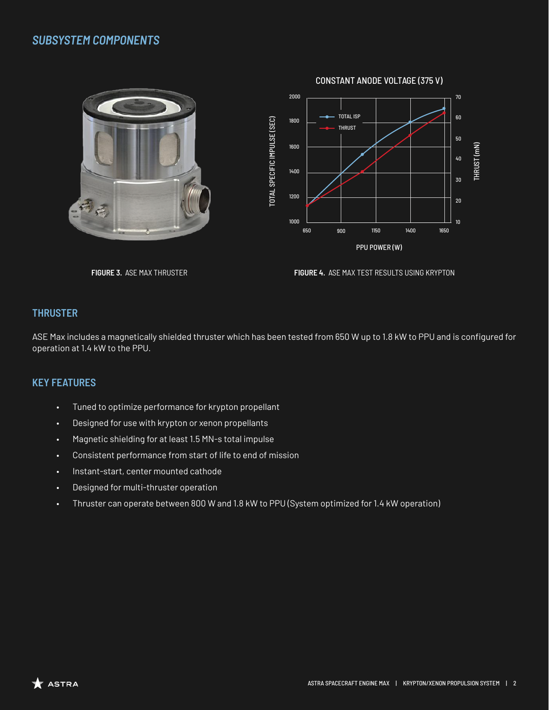## *SUBSYSTEM COMPONENTS*



**FIGURE 3.** ASE MAX THRUSTER **FIGURE 4.** ASE MAX TEST RESULTS USING KRYPTON

#### **THRUSTER**

ASE Max includes a magnetically shielded thruster which has been tested from 650 W up to 1.8 kW to PPU and is configured for operation at 1.4 kW to the PPU.

#### **KEY FEATURES**

- Tuned to optimize performance for krypton propellant
- Designed for use with krypton or xenon propellants
- Magnetic shielding for at least 1.5 MN-s total impulse
- Consistent performance from start of life to end of mission
- Instant-start, center mounted cathode
- Designed for multi-thruster operation
- Thruster can operate between 800 W and 1.8 kW to PPU (System optimized for 1.4 kW operation)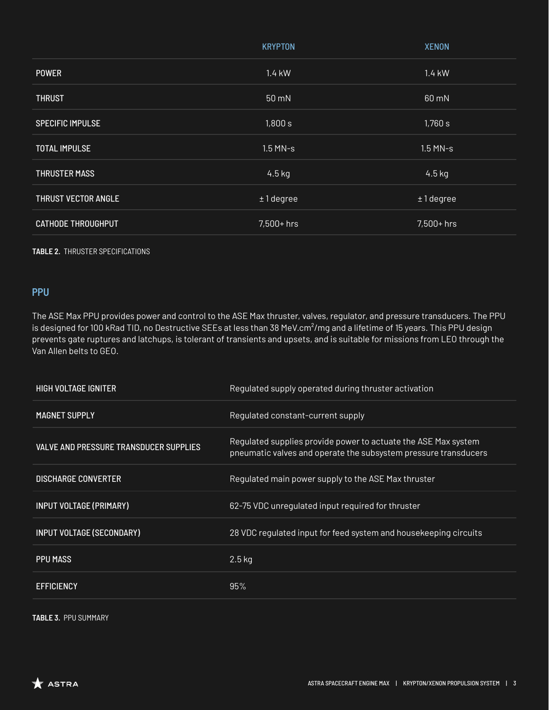|                            | <b>KRYPTON</b> | <b>XENON</b> |
|----------------------------|----------------|--------------|
| <b>POWER</b>               | 1.4 kW         | 1.4 kW       |
| <b>THRUST</b>              | 50 mN          | 60 mN        |
| <b>SPECIFIC IMPULSE</b>    | 1,800 s        | 1,760 s      |
| <b>TOTAL IMPULSE</b>       | $1.5$ MN-s     | $1.5$ MN-s   |
| <b>THRUSTER MASS</b>       | $4.5$ kg       | $4.5$ kg     |
| <b>THRUST VECTOR ANGLE</b> | $± 1$ degree   | $±1$ degree  |
| <b>CATHODE THROUGHPUT</b>  | $7,500+$ hrs   | $7,500+$ hrs |

#### **TABLE 2.** THRUSTER SPECIFICATIONS

#### **PPU**

The ASE Max PPU provides power and control to the ASE Max thruster, valves, regulator, and pressure transducers. The PPU is designed for 100 kRad TID, no Destructive SEEs at less than 38 MeV.cm<sup>2</sup>/mg and a lifetime of 15 years. This PPU design prevents gate ruptures and latchups, is tolerant of transients and upsets, and is suitable for missions from LEO through the Van Allen belts to GEO.

| <b>HIGH VOLTAGE IGNITER</b>                   | Regulated supply operated during thruster activation                                                                              |
|-----------------------------------------------|-----------------------------------------------------------------------------------------------------------------------------------|
| <b>MAGNET SUPPLY</b>                          | Regulated constant-current supply                                                                                                 |
| <b>VALVE AND PRESSURE TRANSDUCER SUPPLIES</b> | Regulated supplies provide power to actuate the ASE Max system<br>pneumatic valves and operate the subsystem pressure transducers |
| <b>DISCHARGE CONVERTER</b>                    | Regulated main power supply to the ASE Max thruster                                                                               |
| <b>INPUT VOLTAGE (PRIMARY)</b>                | 62-75 VDC unregulated input required for thruster                                                                                 |
| INPUT VOLTAGE (SECONDARY)                     | 28 VDC regulated input for feed system and housekeeping circuits                                                                  |
| <b>PPU MASS</b>                               | $2.5$ kg                                                                                                                          |
| <b>EFFICIENCY</b>                             | 95%                                                                                                                               |

**TABLE 3.** PPU SUMMARY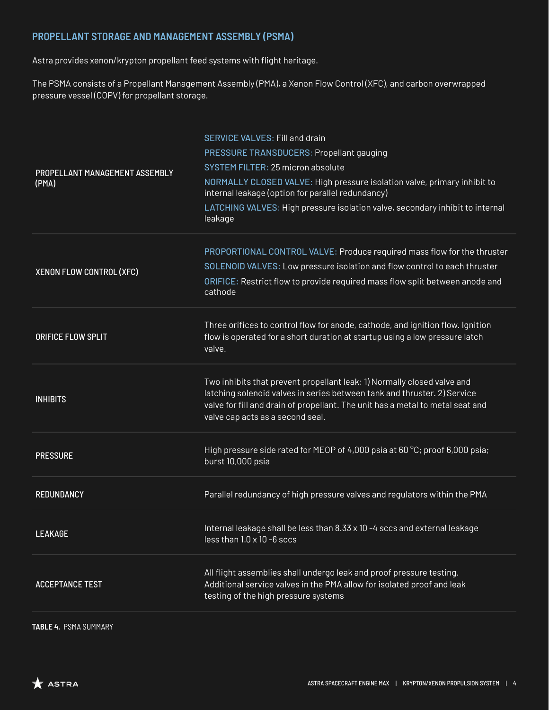## **PROPELLANT STORAGE AND MANAGEMENT ASSEMBLY (PSMA)**

Astra provides xenon/krypton propellant feed systems with flight heritage.

The PSMA consists of a Propellant Management Assembly (PMA), a Xenon Flow Control (XFC), and carbon overwrapped pressure vessel (COPV) for propellant storage.

| PROPELLANT MANAGEMENT ASSEMBLY<br>(PMA) | <b>SERVICE VALVES: Fill and drain</b><br>PRESSURE TRANSDUCERS: Propellant gauging<br>SYSTEM FILTER: 25 micron absolute<br>NORMALLY CLOSED VALVE: High pressure isolation valve, primary inhibit to<br>internal leakage (option for parallel redundancy)<br>LATCHING VALVES: High pressure isolation valve, secondary inhibit to internal<br>leakage |
|-----------------------------------------|-----------------------------------------------------------------------------------------------------------------------------------------------------------------------------------------------------------------------------------------------------------------------------------------------------------------------------------------------------|
| XENON FLOW CONTROL (XFC)                | PROPORTIONAL CONTROL VALVE: Produce required mass flow for the thruster<br>SOLENOID VALVES: Low pressure isolation and flow control to each thruster<br>ORIFICE: Restrict flow to provide required mass flow split between anode and<br>cathode                                                                                                     |
| ORIFICE FLOW SPLIT                      | Three orifices to control flow for anode, cathode, and ignition flow. Ignition<br>flow is operated for a short duration at startup using a low pressure latch<br>valve.                                                                                                                                                                             |
| <b>INHIBITS</b>                         | Two inhibits that prevent propellant leak: 1) Normally closed valve and<br>latching solenoid valves in series between tank and thruster. 2) Service<br>valve for fill and drain of propellant. The unit has a metal to metal seat and<br>valve cap acts as a second seal.                                                                           |
| <b>PRESSURE</b>                         | High pressure side rated for MEOP of 4,000 psia at 60 °C; proof 6,000 psia;<br>burst 10,000 psia                                                                                                                                                                                                                                                    |
| <b>REDUNDANCY</b>                       | Parallel redundancy of high pressure valves and regulators within the PMA                                                                                                                                                                                                                                                                           |
| LEAKAGE                                 | Internal leakage shall be less than 8.33 x 10 -4 sccs and external leakage<br>less than $1.0 \times 10 - 6$ sccs                                                                                                                                                                                                                                    |
| <b>ACCEPTANCE TEST</b>                  | All flight assemblies shall undergo leak and proof pressure testing.<br>Additional service valves in the PMA allow for isolated proof and leak<br>testing of the high pressure systems                                                                                                                                                              |
|                                         |                                                                                                                                                                                                                                                                                                                                                     |

**TABLE 4.** PSMA SUMMARY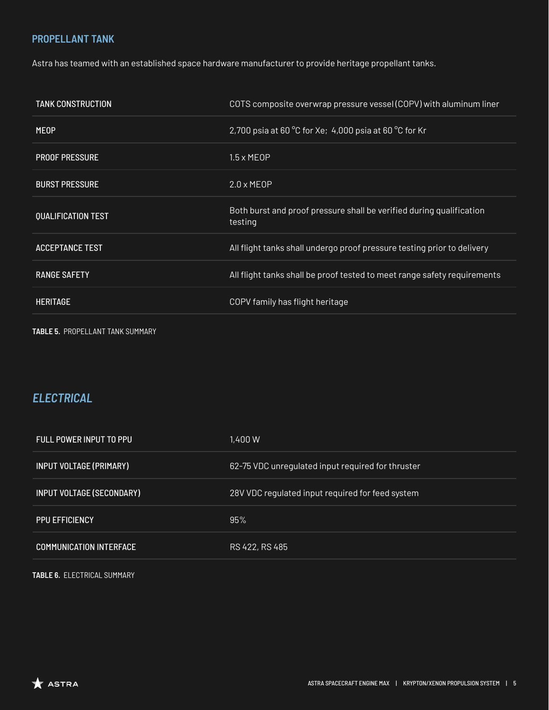### **PROPELLANT TANK**

Astra has teamed with an established space hardware manufacturer to provide heritage propellant tanks.

| <b>TANK CONSTRUCTION</b>  | COTS composite overwrap pressure vessel (COPV) with aluminum liner              |
|---------------------------|---------------------------------------------------------------------------------|
| <b>MEOP</b>               | 2,700 psia at 60 °C for Xe; 4,000 psia at 60 °C for Kr                          |
| <b>PROOF PRESSURE</b>     | $1.5 \times MEOP$                                                               |
| <b>BURST PRESSURE</b>     | $2.0 \times MEOP$                                                               |
| <b>QUALIFICATION TEST</b> | Both burst and proof pressure shall be verified during qualification<br>testing |
| <b>ACCEPTANCE TEST</b>    | All flight tanks shall undergo proof pressure testing prior to delivery         |
| <b>RANGE SAFETY</b>       | All flight tanks shall be proof tested to meet range safety requirements        |
| <b>HERITAGE</b>           | COPV family has flight heritage                                                 |
|                           |                                                                                 |

**TABLE 5.** PROPELLANT TANK SUMMARY

# *ELECTRICAL*

| FULL POWER INPUT TO PPU        | 1.400 W                                           |
|--------------------------------|---------------------------------------------------|
| <b>INPUT VOLTAGE (PRIMARY)</b> | 62-75 VDC unregulated input required for thruster |
| INPUT VOLTAGE (SECONDARY)      | 28V VDC regulated input required for feed system  |
| <b>PPU EFFICIENCY</b>          | 95%                                               |
| <b>COMMUNICATION INTERFACE</b> | RS 422, RS 485                                    |
|                                |                                                   |

**TABLE 6.** ELECTRICAL SUMMARY